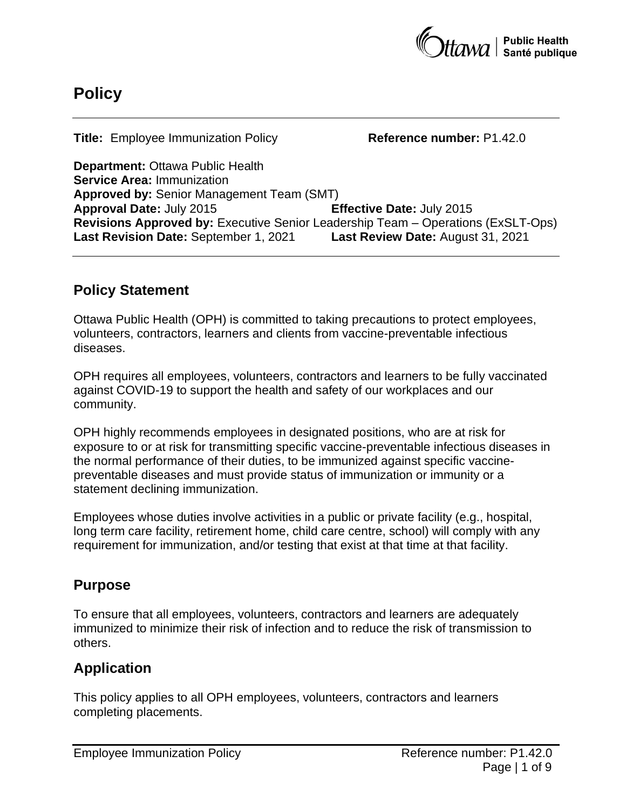

# **Policy**

**Title:** Employee Immunization Policy **Reference number:** P1.42.0

**Department:** Ottawa Public Health **Service Area:** Immunization **Approved by:** Senior Management Team (SMT) **Approval Date:** July 2015 **Effective Date:** July 2015 **Revisions Approved by:** Executive Senior Leadership Team – Operations (ExSLT-Ops) **Last Revision Date:** September 1, 2021 **Last Review Date:** August 31, 2021

# **Policy Statement**

Ottawa Public Health (OPH) is committed to taking precautions to protect employees, volunteers, contractors, learners and clients from vaccine-preventable infectious diseases.

OPH requires all employees, volunteers, contractors and learners to be fully vaccinated against COVID-19 to support the health and safety of our workplaces and our community.

OPH highly recommends employees in designated positions, who are at risk for exposure to or at risk for transmitting specific vaccine-preventable infectious diseases in the normal performance of their duties, to be immunized against specific vaccinepreventable diseases and must provide status of immunization or immunity or a statement declining immunization.

Employees whose duties involve activities in a public or private facility (e.g., hospital, long term care facility, retirement home, child care centre, school) will comply with any requirement for immunization, and/or testing that exist at that time at that facility.

# **Purpose**

To ensure that all employees, volunteers, contractors and learners are adequately immunized to minimize their risk of infection and to reduce the risk of transmission to others.

# **Application**

This policy applies to all OPH employees, volunteers, contractors and learners completing placements.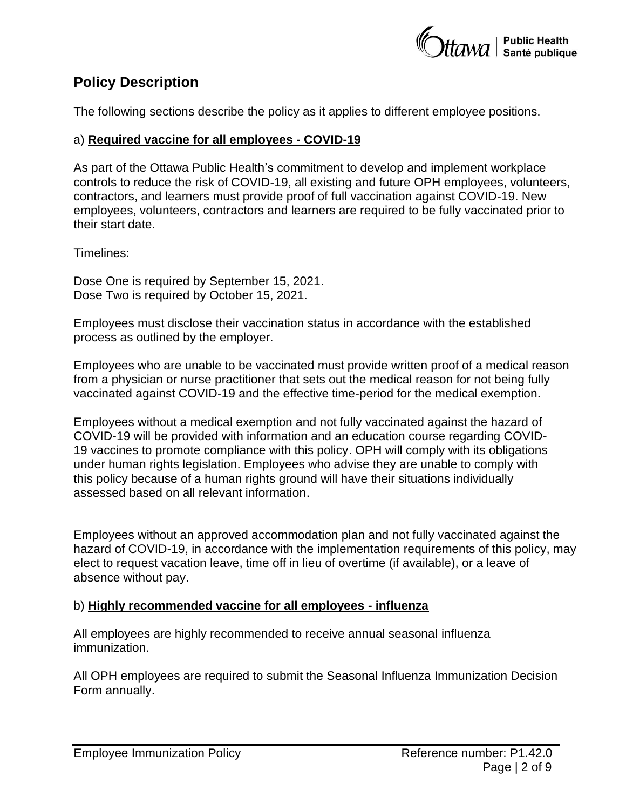

# **Policy Description**

The following sections describe the policy as it applies to different employee positions.

#### a) **Required vaccine for all employees - COVID-19**

As part of the Ottawa Public Health's commitment to develop and implement workplace controls to reduce the risk of COVID-19, all existing and future OPH employees, volunteers, contractors, and learners must provide proof of full vaccination against COVID-19. New employees, volunteers, contractors and learners are required to be fully vaccinated prior to their start date.

Timelines:

Dose One is required by September 15, 2021. Dose Two is required by October 15, 2021.

Employees must disclose their vaccination status in accordance with the established process as outlined by the employer.

Employees who are unable to be vaccinated must provide written proof of a medical reason from a physician or nurse practitioner that sets out the medical reason for not being fully vaccinated against COVID-19 and the effective time-period for the medical exemption.

Employees without a medical exemption and not fully vaccinated against the hazard of COVID-19 will be provided with information and an education course regarding COVID-19 vaccines to promote compliance with this policy. OPH will comply with its obligations under human rights legislation. Employees who advise they are unable to comply with this policy because of a human rights ground will have their situations individually assessed based on all relevant information.

Employees without an approved accommodation plan and not fully vaccinated against the hazard of COVID-19, in accordance with the implementation requirements of this policy, may elect to request vacation leave, time off in lieu of overtime (if available), or a leave of absence without pay.

#### b) **Highly recommended vaccine for all employees - influenza**

All employees are highly recommended to receive annual seasonal influenza immunization.

All OPH employees are required to submit the Seasonal Influenza Immunization Decision Form annually.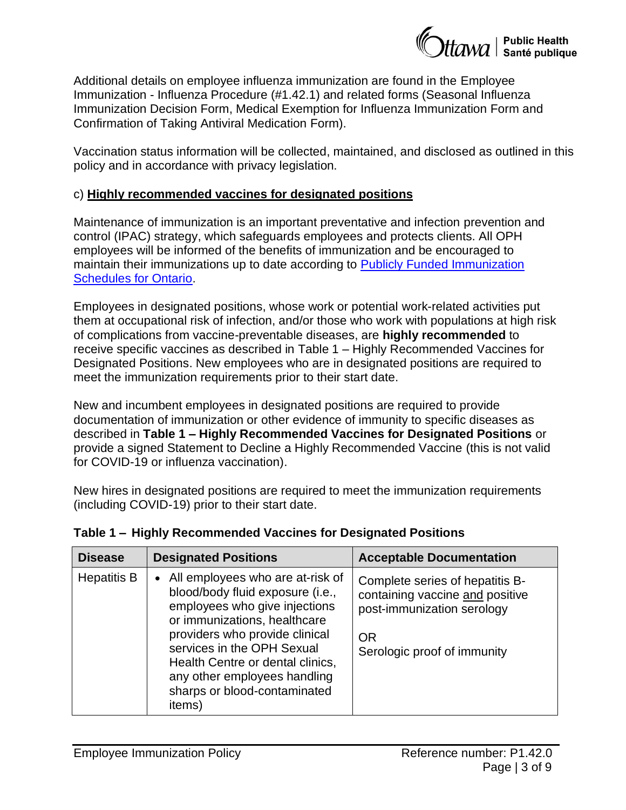

Additional details on employee influenza immunization are found in the Employee Immunization - Influenza Procedure (#1.42.1) and related forms (Seasonal Influenza Immunization Decision Form, Medical Exemption for Influenza Immunization Form and Confirmation of Taking Antiviral Medication Form).

Vaccination status information will be collected, maintained, and disclosed as outlined in this policy and in accordance with privacy legislation.

#### c) **Highly recommended vaccines for designated positions**

Maintenance of immunization is an important preventative and infection prevention and control (IPAC) strategy, which safeguards employees and protects clients. All OPH employees will be informed of the benefits of immunization and be encouraged to maintain their immunizations up to date according to [Publicly Funded Immunization](https://www.health.gov.on.ca/en/pro/programs/immunization/docs/Publicly_Funded_ImmunizationSchedule.pdf)  [Schedules for Ontario.](https://www.health.gov.on.ca/en/pro/programs/immunization/docs/Publicly_Funded_ImmunizationSchedule.pdf)

Employees in designated positions, whose work or potential work-related activities put them at occupational risk of infection, and/or those who work with populations at high risk of complications from vaccine-preventable diseases, are **highly recommended** to receive specific vaccines as described in Table 1 – Highly Recommended Vaccines for Designated Positions. New employees who are in designated positions are required to meet the immunization requirements prior to their start date.

New and incumbent employees in designated positions are required to provide documentation of immunization or other evidence of immunity to specific diseases as described in **Table 1 – Highly Recommended Vaccines for Designated Positions** or provide a signed Statement to Decline a Highly Recommended Vaccine (this is not valid for COVID-19 or influenza vaccination).

New hires in designated positions are required to meet the immunization requirements (including COVID-19) prior to their start date.

| <b>Disease</b>     | <b>Designated Positions</b>                                                                                                                                                                                                                                                                                           | <b>Acceptable Documentation</b>                                                                                                              |
|--------------------|-----------------------------------------------------------------------------------------------------------------------------------------------------------------------------------------------------------------------------------------------------------------------------------------------------------------------|----------------------------------------------------------------------------------------------------------------------------------------------|
| <b>Hepatitis B</b> | • All employees who are at-risk of<br>blood/body fluid exposure (i.e.,<br>employees who give injections<br>or immunizations, healthcare<br>providers who provide clinical<br>services in the OPH Sexual<br>Health Centre or dental clinics,<br>any other employees handling<br>sharps or blood-contaminated<br>items) | Complete series of hepatitis B-<br>containing vaccine and positive<br>post-immunization serology<br><b>OR</b><br>Serologic proof of immunity |

#### **Table 1 – Highly Recommended Vaccines for Designated Positions**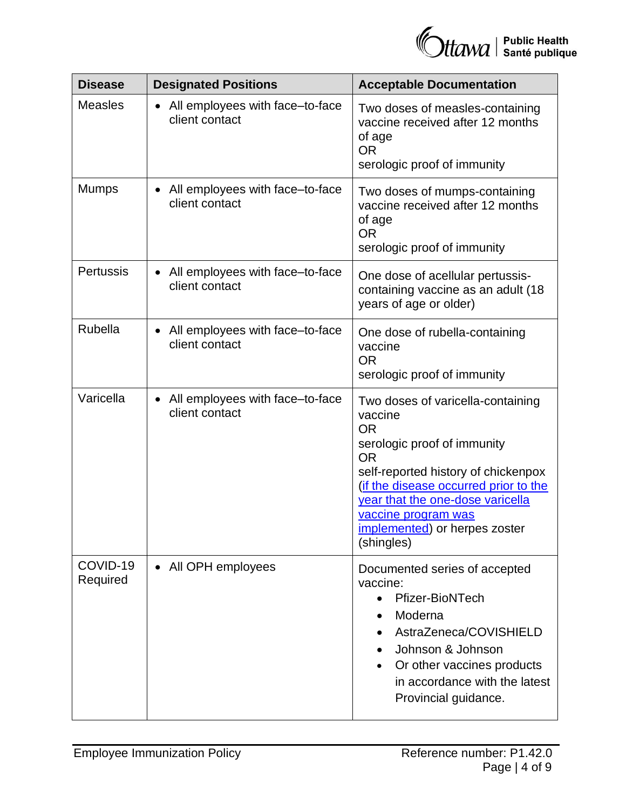| <b>Disease</b>       | <b>Designated Positions</b>                                    | <b>Acceptable Documentation</b>                                                                                                                                                                                                                                                                 |
|----------------------|----------------------------------------------------------------|-------------------------------------------------------------------------------------------------------------------------------------------------------------------------------------------------------------------------------------------------------------------------------------------------|
| <b>Measles</b>       | All employees with face-to-face<br>client contact              | Two doses of measles-containing<br>vaccine received after 12 months<br>of age<br><b>OR</b><br>serologic proof of immunity                                                                                                                                                                       |
| <b>Mumps</b>         | All employees with face-to-face<br>client contact              | Two doses of mumps-containing<br>vaccine received after 12 months<br>of age<br><b>OR</b><br>serologic proof of immunity                                                                                                                                                                         |
| Pertussis            | All employees with face-to-face<br>$\bullet$<br>client contact | One dose of acellular pertussis-<br>containing vaccine as an adult (18)<br>years of age or older)                                                                                                                                                                                               |
| Rubella              | • All employees with face-to-face<br>client contact            | One dose of rubella-containing<br>vaccine<br><b>OR</b><br>serologic proof of immunity                                                                                                                                                                                                           |
| Varicella            | All employees with face-to-face<br>client contact              | Two doses of varicella-containing<br>vaccine<br><b>OR</b><br>serologic proof of immunity<br><b>OR</b><br>self-reported history of chickenpox<br>(if the disease occurred prior to the<br>year that the one-dose varicella<br>vaccine program was<br>implemented) or herpes zoster<br>(shingles) |
| COVID-19<br>Required | • All OPH employees                                            | Documented series of accepted<br>vaccine:<br>Pfizer-BioNTech<br>$\bullet$<br>Moderna<br>AstraZeneca/COVISHIELD<br>Johnson & Johnson<br>Or other vaccines products<br>in accordance with the latest<br>Provincial guidance.                                                                      |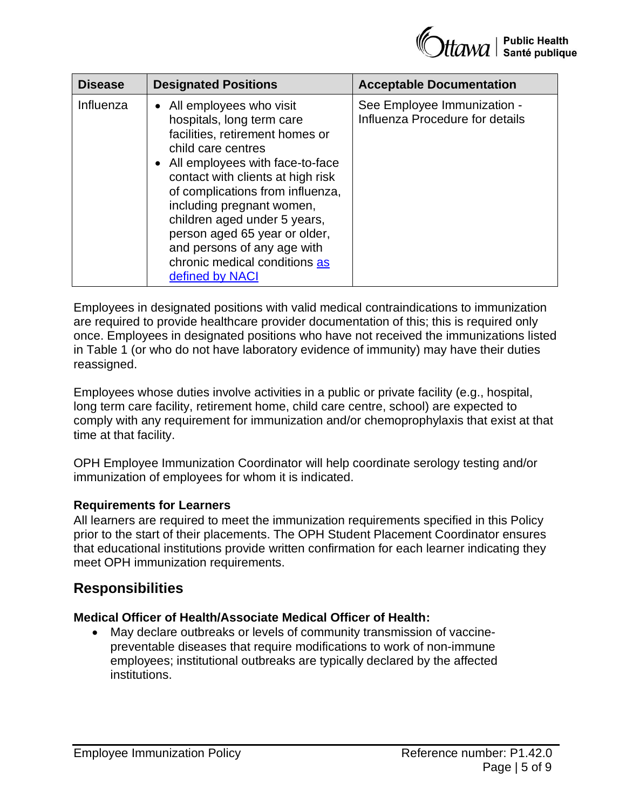| <b>Disease</b> | <b>Designated Positions</b>                                                                                                                                                                                                                                                                                                                                                                                    | <b>Acceptable Documentation</b>                                |
|----------------|----------------------------------------------------------------------------------------------------------------------------------------------------------------------------------------------------------------------------------------------------------------------------------------------------------------------------------------------------------------------------------------------------------------|----------------------------------------------------------------|
| Influenza      | • All employees who visit<br>hospitals, long term care<br>facilities, retirement homes or<br>child care centres<br>• All employees with face-to-face<br>contact with clients at high risk<br>of complications from influenza,<br>including pregnant women,<br>children aged under 5 years,<br>person aged 65 year or older,<br>and persons of any age with<br>chronic medical conditions as<br>defined by NACI | See Employee Immunization -<br>Influenza Procedure for details |

Employees in designated positions with valid medical contraindications to immunization are required to provide healthcare provider documentation of this; this is required only once. Employees in designated positions who have not received the immunizations listed in Table 1 (or who do not have laboratory evidence of immunity) may have their duties reassigned.

Employees whose duties involve activities in a public or private facility (e.g., hospital, long term care facility, retirement home, child care centre, school) are expected to comply with any requirement for immunization and/or chemoprophylaxis that exist at that time at that facility.

OPH Employee Immunization Coordinator will help coordinate serology testing and/or immunization of employees for whom it is indicated.

#### **Requirements for Learners**

All learners are required to meet the immunization requirements specified in this Policy prior to the start of their placements. The OPH Student Placement Coordinator ensures that educational institutions provide written confirmation for each learner indicating they meet OPH immunization requirements.

### **Responsibilities**

#### **Medical Officer of Health/Associate Medical Officer of Health:**

• May declare outbreaks or levels of community transmission of vaccinepreventable diseases that require modifications to work of non-immune employees; institutional outbreaks are typically declared by the affected institutions.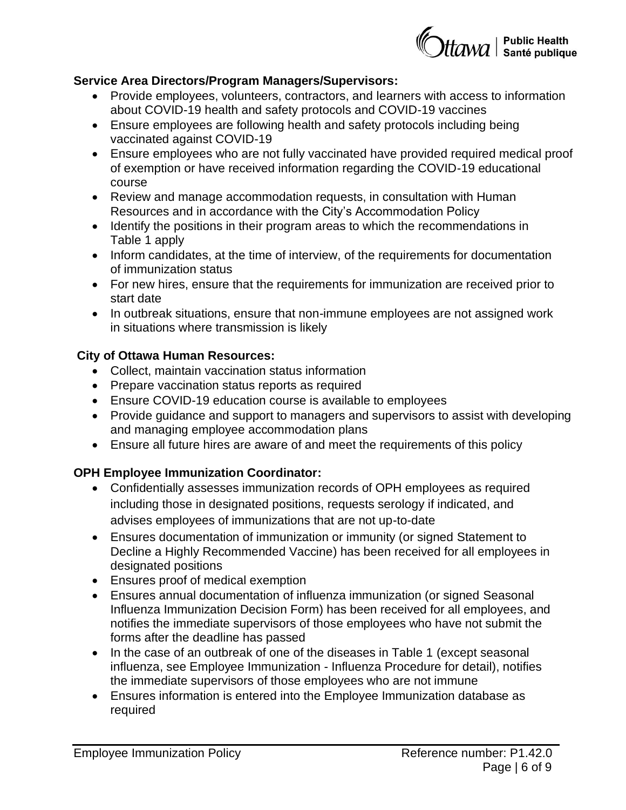

#### **Service Area Directors/Program Managers/Supervisors:**

- Provide employees, volunteers, contractors, and learners with access to information about COVID-19 health and safety protocols and COVID-19 vaccines
- Ensure employees are following health and safety protocols including being vaccinated against COVID-19
- Ensure employees who are not fully vaccinated have provided required medical proof of exemption or have received information regarding the COVID-19 educational course
- Review and manage accommodation requests, in consultation with Human Resources and in accordance with the City's Accommodation Policy
- Identify the positions in their program areas to which the recommendations in Table 1 apply
- Inform candidates, at the time of interview, of the requirements for documentation of immunization status
- For new hires, ensure that the requirements for immunization are received prior to start date
- In outbreak situations, ensure that non-immune employees are not assigned work in situations where transmission is likely

#### **City of Ottawa Human Resources:**

- Collect, maintain vaccination status information
- Prepare vaccination status reports as required
- Ensure COVID-19 education course is available to employees
- Provide guidance and support to managers and supervisors to assist with developing and managing employee accommodation plans
- Ensure all future hires are aware of and meet the requirements of this policy

### **OPH Employee Immunization Coordinator:**

- Confidentially assesses immunization records of OPH employees as required including those in designated positions, requests serology if indicated, and advises employees of immunizations that are not up-to-date
- Ensures documentation of immunization or immunity (or signed Statement to Decline a Highly Recommended Vaccine) has been received for all employees in designated positions
- Ensures proof of medical exemption
- Ensures annual documentation of influenza immunization (or signed Seasonal Influenza Immunization Decision Form) has been received for all employees, and notifies the immediate supervisors of those employees who have not submit the forms after the deadline has passed
- In the case of an outbreak of one of the diseases in Table 1 (except seasonal influenza, see Employee Immunization - Influenza Procedure for detail), notifies the immediate supervisors of those employees who are not immune
- Ensures information is entered into the Employee Immunization database as required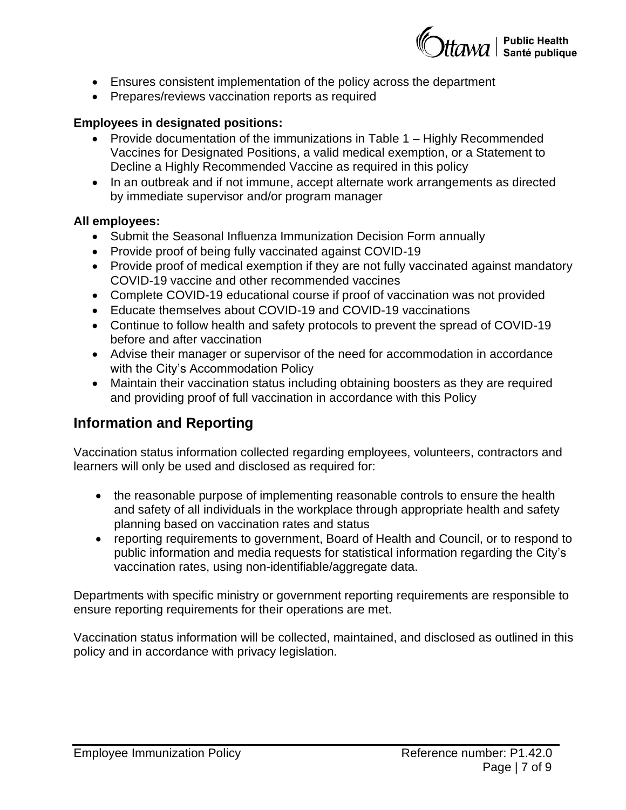

- Ensures consistent implementation of the policy across the department
- Prepares/reviews vaccination reports as required

#### **Employees in designated positions:**

- Provide documentation of the immunizations in Table 1 Highly Recommended Vaccines for Designated Positions, a valid medical exemption, or a Statement to Decline a Highly Recommended Vaccine as required in this policy
- In an outbreak and if not immune, accept alternate work arrangements as directed by immediate supervisor and/or program manager

#### **All employees:**

- Submit the Seasonal Influenza Immunization Decision Form annually
- Provide proof of being fully vaccinated against COVID-19
- Provide proof of medical exemption if they are not fully vaccinated against mandatory COVID-19 vaccine and other recommended vaccines
- Complete COVID-19 educational course if proof of vaccination was not provided
- Educate themselves about COVID-19 and COVID-19 vaccinations
- Continue to follow health and safety protocols to prevent the spread of COVID-19 before and after vaccination
- Advise their manager or supervisor of the need for accommodation in accordance with the City's Accommodation Policy
- Maintain their vaccination status including obtaining boosters as they are required and providing proof of full vaccination in accordance with this Policy

## **Information and Reporting**

Vaccination status information collected regarding employees, volunteers, contractors and learners will only be used and disclosed as required for:

- the reasonable purpose of implementing reasonable controls to ensure the health and safety of all individuals in the workplace through appropriate health and safety planning based on vaccination rates and status
- reporting requirements to government, Board of Health and Council, or to respond to public information and media requests for statistical information regarding the City's vaccination rates, using non-identifiable/aggregate data.

Departments with specific ministry or government reporting requirements are responsible to ensure reporting requirements for their operations are met.

Vaccination status information will be collected, maintained, and disclosed as outlined in this policy and in accordance with privacy legislation.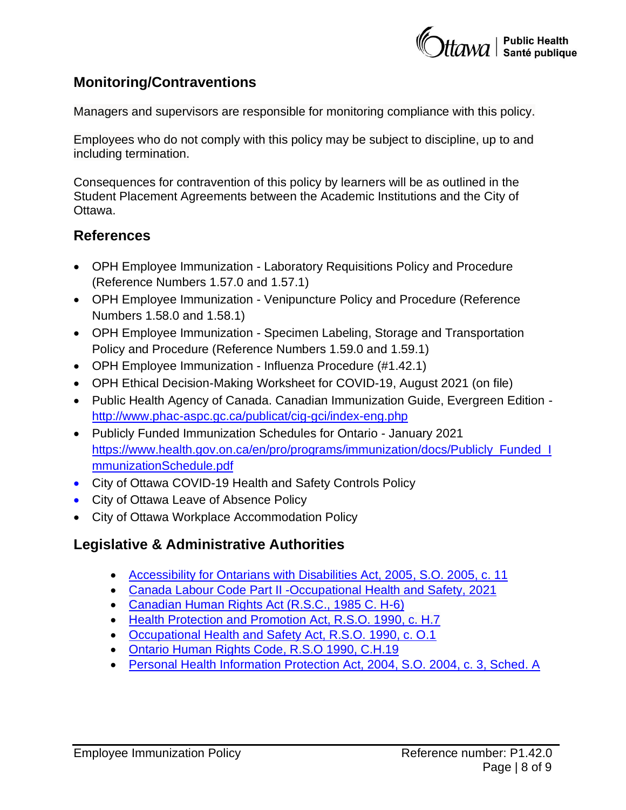

### **Monitoring/Contraventions**

Managers and supervisors are responsible for monitoring compliance with this policy.

Employees who do not comply with this policy may be subject to discipline, up to and including termination.

Consequences for contravention of this policy by learners will be as outlined in the Student Placement Agreements between the Academic Institutions and the City of Ottawa.

### **References**

- OPH Employee Immunization Laboratory Requisitions Policy and Procedure (Reference Numbers 1.57.0 and 1.57.1)
- OPH Employee Immunization Venipuncture Policy and Procedure (Reference Numbers 1.58.0 and 1.58.1)
- OPH Employee Immunization Specimen Labeling, Storage and Transportation Policy and Procedure (Reference Numbers 1.59.0 and 1.59.1)
- OPH Employee Immunization Influenza Procedure (#1.42.1)
- OPH Ethical Decision-Making Worksheet for COVID-19, August 2021 (on file)
- Public Health Agency of Canada. Canadian Immunization Guide, Evergreen Edition <http://www.phac-aspc.gc.ca/publicat/cig-gci/index-eng.php>
- Publicly Funded Immunization Schedules for Ontario January 2021 [https://www.health.gov.on.ca/en/pro/programs/immunization/docs/Publicly\\_Funded\\_I](https://www.health.gov.on.ca/en/pro/programs/immunization/docs/Publicly_Funded_ImmunizationSchedule.pdf) [mmunizationSchedule.pdf](https://www.health.gov.on.ca/en/pro/programs/immunization/docs/Publicly_Funded_ImmunizationSchedule.pdf)
- City of Ottawa COVID-19 Health and Safety Controls Policy
- City of Ottawa Leave of Absence Policy
- City of Ottawa Workplace Accommodation Policy

# **Legislative & Administrative Authorities**

- [Accessibility for Ontarians with Disabilities Act, 2005,](https://www.ontario.ca/laws/statute/05a11) S.O. 2005, c. 11
- [Canada Labour Code Part II -Occupational Health and Safety, 2021](https://laws-lois.justice.gc.ca/eng/acts/L-2/index.html)
- [Canadian Human Rights Act \(R.S.C., 1985 C. H-6\)](https://laws-lois.justice.gc.ca/eng/acts/h-6/)
- Health [Protection and Promotion Act, R.S.O. 1990, c. H.7](https://www.ontario.ca/laws/statute/90h07)
- [Occupational Health and Safety Act, R.S.O. 1990, c. O.1](https://www.ontario.ca/laws/statute/90o01)
- [Ontario Human Rights Code, R.S.O 1990, C.H.19](https://www.ontario.ca/laws/statute/90h19)
- [Personal Health Information Protection Act,](https://www.google.ca/url?sa=t&rct=j&q=&esrc=s&source=web&cd=1&cad=rja&uact=8&ved=2ahUKEwiVwP6s0aTeAhVHwYMKHbvqAZwQFjAAegQIBhAC&url=https%3A%2F%2Fwww.ontario.ca%2Flaws%2Fstatute%2F04p03&usg=AOvVaw0jYHEtd_Xz8dKJR1avWueQ) 2004, S.O. 2004, c. 3, Sched. A